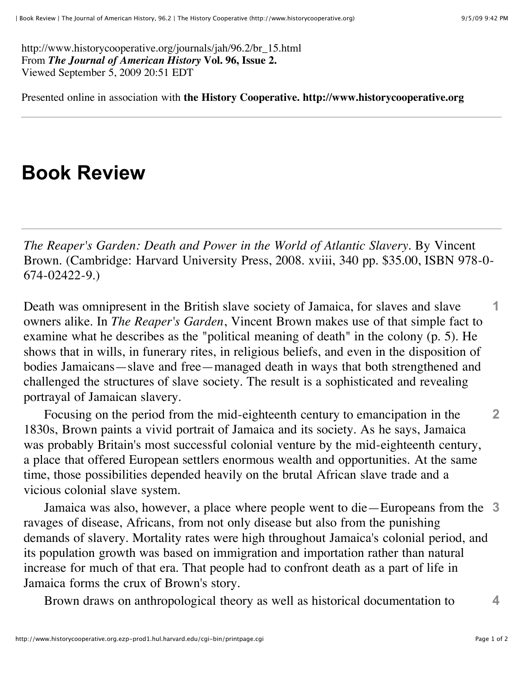http://www.historycooperative.org/journals/jah/96.2/br\_15.html From *The Journal of American History* **Vol. 96, Issue 2.** Viewed September 5, 2009 20:51 EDT

Presented online in association with **the History Cooperative. http://www.historycooperative.org**

## **Book Review**

*The Reaper's Garden: Death and Power in the World of Atlantic Slavery*. By Vincent Brown. (Cambridge: Harvard University Press, 2008. xviii, 340 pp. \$35.00, ISBN 978-0- 674-02422-9.)

Death was omnipresent in the British slave society of Jamaica, for slaves and slave owners alike. In *The Reaper's Garden*, Vincent Brown makes use of that simple fact to examine what he describes as the "political meaning of death" in the colony (p. 5). He shows that in wills, in funerary rites, in religious beliefs, and even in the disposition of bodies Jamaicans—slave and free—managed death in ways that both strengthened and challenged the structures of slave society. The result is a sophisticated and revealing portrayal of Jamaican slavery. **1**

Focusing on the period from the mid-eighteenth century to emancipation in the 1830s, Brown paints a vivid portrait of Jamaica and its society. As he says, Jamaica was probably Britain's most successful colonial venture by the mid-eighteenth century, a place that offered European settlers enormous wealth and opportunities. At the same time, those possibilities depended heavily on the brutal African slave trade and a vicious colonial slave system. **2**

Jamaica was also, however, a place where people went to die—Europeans from the **3** ravages of disease, Africans, from not only disease but also from the punishing demands of slavery. Mortality rates were high throughout Jamaica's colonial period, and its population growth was based on immigration and importation rather than natural increase for much of that era. That people had to confront death as a part of life in Jamaica forms the crux of Brown's story.

Brown draws on anthropological theory as well as historical documentation to **4**